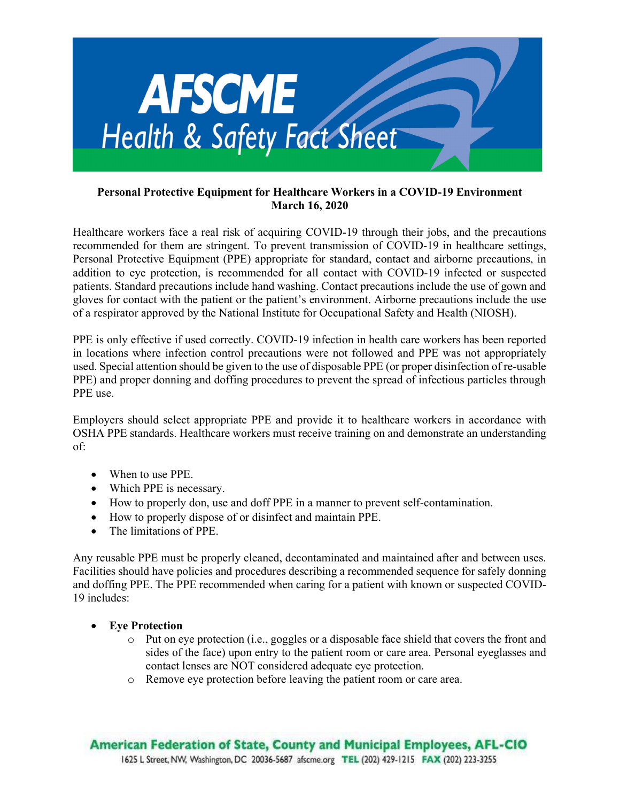

## Personal Protective Equipment for Healthcare Workers in a COVID-19 Environment March 16, 2020

Healthcare workers face a real risk of acquiring COVID-19 through their jobs, and the precautions recommended for them are stringent. To prevent transmission of COVID-19 in healthcare settings, Personal Protective Equipment (PPE) appropriate for standard, contact and airborne precautions, in addition to eye protection, is recommended for all contact with COVID-19 infected or suspected patients. Standard precautions include hand washing. Contact precautions include the use of gown and gloves for contact with the patient or the patient's environment. Airborne precautions include the use of a respirator approved by the National Institute for Occupational Safety and Health (NIOSH).

PPE is only effective if used correctly. COVID-19 infection in health care workers has been reported in locations where infection control precautions were not followed and PPE was not appropriately used. Special attention should be given to the use of disposable PPE (or proper disinfection of re-usable PPE) and proper donning and doffing procedures to prevent the spread of infectious particles through PPE use.

Employers should select appropriate PPE and provide it to healthcare workers in accordance with OSHA PPE standards. Healthcare workers must receive training on and demonstrate an understanding of:

- When to use PPE.
- Which PPE is necessary.
- How to properly don, use and doff PPE in a manner to prevent self-contamination.
- How to properly dispose of or disinfect and maintain PPE.
- The limitations of PPE.

Any reusable PPE must be properly cleaned, decontaminated and maintained after and between uses. Facilities should have policies and procedures describing a recommended sequence for safely donning and doffing PPE. The PPE recommended when caring for a patient with known or suspected COVID-19 includes:

## Eye Protection

- o Put on eye protection (i.e., goggles or a disposable face shield that covers the front and sides of the face) upon entry to the patient room or care area. Personal eyeglasses and contact lenses are NOT considered adequate eye protection.
- o Remove eye protection before leaving the patient room or care area.